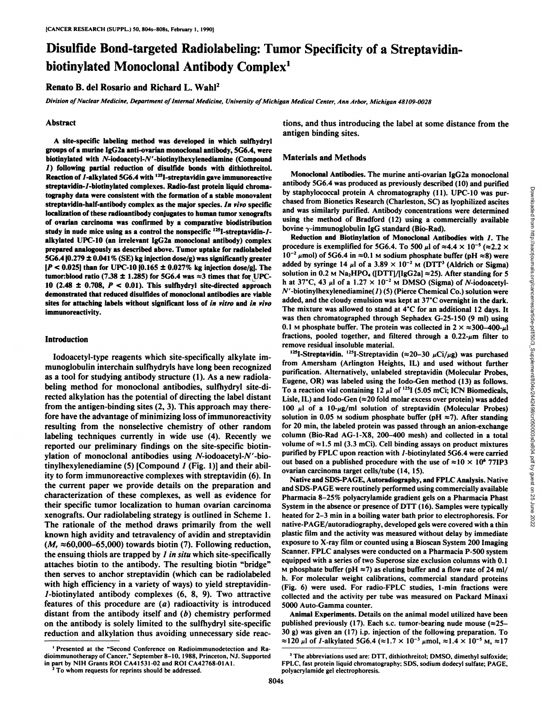# Disulfide Bond-targeted Radiolabeling: Tumor Specificity of a Streptavidinbiotinylated Monoclonal Antibody Complex1

## Renato B. del Rosario and Richard L. Wahl2

Division of Nuclear Medicine, Department of Internal Medicine, University of Michigan Medical Center, Ann Arbor, Michigan 48109-0028

#### **Abstract**

A site-specific labeling method was developed in which sulfhydryl groups of a murine IgG2a anti-ovarian monoclonal antibody, 5G6.4, were biotinylated with  $N$ -iodoacetyl- $N'$ -biotinylhexylenediamine (Compound /) following partial reduction of disulfide bonds with dithiothreitol. Reaction of  $I$ -alkylated 5G6.4 with  $^{125}$ I-streptavidin gave immunoreactive streptavidin-/-biotinylated complexes. Radio-fast protein liquid chromatography data were consistent with the formation of a stable monovalent streptavidin-half-antibody complex as the major species. In vivo specific localization of these radioantibody conjugates to human tumor xenografts of ovarian carcinoma was confirmed by a comparative biodistribution study in nude mice using as a control the nonspecific  $125$ I-streptavidin- $1$ alkylated UPC-10 (an irrelevant IgG2a monoclonal antibody) complex prepared analogously as described above. Tumor uptake for radiolabeled 5G6.4 [0.279  $\pm$  0.041% (SE) kg injection dose/g) was significantly greater *\P < 0.025] than for UPC-10 |0.165 ±0.027% kg injection dose/g]. The* tumor:blood ratio (7.38  $\pm$  1.285) for 5G6.4 was  $\approx$ 3 times that for UPC-10 (2.48  $\pm$  0.708,  $P < 0.01$ ). This sulfhydryl site-directed approach demonstrated that reduced disulfides of monoclonal antibodies are viable sites for attaching labels without significant loss of in vitro and in vivo immunoreactivity.

### Introduction

lodoacetyl-type reagents which site-specifically alkylate immunoglobulin interchain sulfhydryls have long been recognized as a tool for studying antibody structure (1). As a new radiolabeling method for monoclonal antibodies, sulfhydryl site-di rected alky lation has the potential of directing the label distant from the antigen-binding sites (2, 3). This approach may there fore have the advantage of minimizing loss of immunoreactivity resulting from the nonselective chemistry of other random labeling techniques currently in wide use (4). Recently we reported our preliminary findings on the site-specific biotinylation of monoclonal antibodies using  $N$ -iodoacetyl- $N'$ -biotinylhexylenediamine (5) [Compound  $I$  (Fig. 1)] and their ability to form immunoreactive complexes with streptavidin (6). In the current paper we provide details on the preparation and characterization of these complexes, as well as evidence for their specific tumor localization to human ovarian carcinoma xenografts. Our radiolabeling strategy is outlined in Scheme 1. The rationale of the method draws primarily from the well known high avidity and tetravalency of avidin and streptavidin *(M, «60,000-65,000) towards biotin (7). Following reduction,* the ensuing thiols are trapped by  $I$  in situ which site-specifically attaches biotin to the antibody. The resulting biotin "bridge" then serves to anchor streptavidin (which can be radiolabeled with high efficiency in a variety of ways) to yield streptavidin-7-biotinylated antibody complexes (6, 8, 9). Two attractive features of this procedure are  $(a)$  radioactivity is introduced distant from the antibody itself and  $(b)$  chemistry performed on the antibody is solely limited to the sulfhydryl site-specific reduction and alkylation thus avoiding unnecessary side reac-

dioimmunotherapy of Cancer." September 8-10. 1988. Princeton, NJ. Supported in part by NIH Grants ROI CA41531-02 and ROI CA42768-01 Al. 2To whom requests for reprints should be addressed.

## Materials and Methods

Monoclonal Antibodies. The murine anti-ovarian IgG2a monoclonal by staphylococcal protein A chromatography (11). UPC-10 was pur chased from Bionetics Research (Charleston, SC) as lyophilized ascites and was similarly purified. Antibody concentrations were determined using the method of Bradford (12) using a commercially available bovine  $\gamma$ -immunoglobulin IgG standard (Bio-Rad).

Reduction and Biotinylation of Monoclonal Antibodies with /. The procedure is exemplified for 5G6.4. To 500  $\mu$ l of  $\approx$ 4.4  $\times$  10<sup>-5</sup> ( $\approx$ 2.2  $\times$  $10^{-2}$  µmol) of 5G6.4 in  $\approx$ 0.1 M sodium phosphate buffer (pH  $\approx$ 8) were added by syringe 14  $\mu$ l of a 3.89  $\times$  10<sup>-2</sup> M (DTT<sup>3</sup> (Aldrich or Sigma) solution in 0.2 M Na<sub>2</sub>HPO<sub>4</sub> ([DTT]/[IgG2a]  $\approx$  25). After standing for 5 h at 37°C, 43  $\mu$ l of a 1.27 × 10<sup>-2</sup> M DMSO (Sigma) of *N*-iodoacetyl- $N'$ -biotinylhexylenediamine( $I$ ) (5) (Pierce Chemical Co.) solution were added, and the cloudy emulsion was kept at  $37^{\circ}$ C overnight in the dark. The mixture was allowed to stand at  $4^{\circ}$ C for an additional 12 days. It was then chromatographed through Sephadex G-25-150 (9 ml) using 0.1 M phosphate buffer. The protein was collected in  $2 \times \approx 300-400-\mu$ l fractions, pooled together, and filtered through a  $0.22$ - $\mu$ m filter to remove residual insoluble material.

antibody SG6.4 was produced as previously described (10) and purified<br>stape by staphylococcal protein A chromatography (11). UPC-10 was pur-<br>chased from Bionetics Research (Charleston, SC) as lyophilized asciess<br>and was s <sup>125</sup>I-Streptavidin. <sup>125</sup>I-Streptavidin ( $\approx$ 20-30  $\mu$ Ci/ $\mu$ g) was purchased from Amersham (Arlington Heights, IL) and used without further purification. Alternatively, unlabeled streptavidin (Molecular Probes, Eugene, OR) was labeled using the lodo-Gen method (13) as follows. To a reaction vial containing  $12 \mu l$  of  $^{125}I$  (5.05 mCi; ICN Biomedicals, Lisle, IL) and Iodo-Gen  $(\approx 20 \text{ fold molar excess over protein})$  was added 100  $\mu$ l of a 10- $\mu$ g/ml solution of streptavidin (Molecular Probes) solution in 0.05 M sodium phosphate buffer (pH  $\approx$ 7). After standing for 20 min, the labeled protein was passed through an anion-exchange column (Bio-Rad AG-1-X8, 200-400 mesh) and collected in a total volume of  $\approx$ 1.5 ml (3.3 mCi). Cell binding assays on product mixtures purified by FPLC upon reaction with /-biotinylated 5G6.4 were carried out based on a published procedure with the use of  $\approx 10 \times 10^6$  77IP3 ovarian carcinoma target cells/tube (14, 15).

Native and SDS-PAGE, Autoradiography, and FPLC Analysis. Native and SDS-PAGE were routinely performed using commercially available Pharmacia 8-25% polyacrylamide gradient gels on a Pharmacia Phast System in the absence or presence of DTT (16). Samples were typically heated for 2-3 min in a boiling water bath prior to electrophoresis. For native-PAGE/autoradiography, developed gels were covered with a thin plastic film and the activity was measured without delay by immediate exposure to X-ray film or counted using a Bioscan System 200 Imaging Scanner. FPLC analyses were conducted on a Pharmacia P-500 system equipped with a series of two Superose size exclusion columns with 0.1 M phosphate buffer (pH  $\approx$ 7) as eluting buffer and a flow rate of 24 ml/ h. For molecular weight calibrations, commercial standard proteins (Fig. 6) were used. For radio-FPLC studies, 1-min fractions were collected and the activity per tube was measured on Packard Minaxi 5000 Auto-Gamma counter.

120 µ of *1*-alkylated 5G6.4 ( $\approx$ 1.7 × 10<sup>-3</sup> µmol,  $\approx$ 1.4 × 10<sup>-5</sup> M,  $\approx$ 17<br><sup>1</sup> Presented at the "Second Conference on Radioimmunodetection and Ra-Animal Experiments. Details on the animal model utilized have been published previously (17). Each s.c. tumor-bearing nude mouse  $(\approx 25 30$  g) was given an (17) i.p. injection of the following preparation. To

tions, and thus introducing the label at some distance from the antigen binding sites.

<sup>&</sup>lt;sup>3</sup> The abbreviations used are: DTT, dithiothreitol; DMSO, dimethyl sulfoxide; FPLC, fast protein liquid chromatography; SDS. sodium dodecyl sulfate; PAGE, polyacrylamide gel electrophoresis.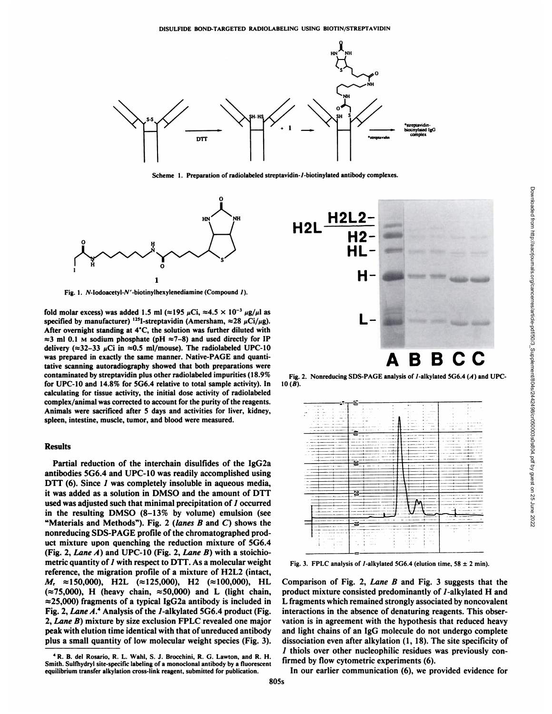

Scheme 1. Preparation of radiolabeled streptavidin-/-biotinylated antibody complexes.



Fig. 1.  $N$ -Iodoacetyl- $N'$ -biotinylhexylenediamine (Compound 1).

fold molar excess) was added 1.5 ml ( $\approx$ 195  $\mu$ Ci,  $\approx$ 4.5  $\times$  10<sup>-3</sup>  $\mu$ g/ $\mu$ l as specified by manufacturer) <sup>125</sup>I-streptavidin (Amersham,  $\approx$  28  $\mu$ Ci/ $\mu$ g). After overnight standing at  $4^{\circ}$ C, the solution was further diluted with  $\approx$ 3 ml 0.1 M sodium phosphate (pH  $\approx$ 7-8) and used directly for IP delivery ( $\approx$ 32-33  $\mu$ Ci in  $\approx$ 0.5 ml/mouse). The radiolabeled UPC-10 was prepared in exactly the same manner. Native-PAGE and quanti tative scanning autoradiography showed that both preparations were contaminated by streptavidin plus other radiolabeled impurities (18.9% for UPC-10 and 14.8% for 5G6.4 relative to total sample activity). In calculating for tissue activity, the initial dose activity of radiolabeled complex/animal was corrected to account for the purity of the reagents. Animals were sacrificed after 5 days and activities for liver, kidney, spleen, intestine, muscle, tumor, and blood were measured.

#### Results

Partial reduction of the interchain disulfides of the IgG2a antibodies 5G6.4 and UPC-10 was readily accomplished using DTT (6). Since *I* was completely insoluble in aqueous media, it was added as a solution in DMSO and the amount of DTT used was adjusted such that minimal precipitation of *I* occurred in the resulting DMSO (8-13% by volume) emulsion (see "Materials and Methods"). Fig. 2 (lanes  $B$  and  $C$ ) shows the nonreducing SDS-PAGE profile of the chromatographed prod uct mixture upon quenching the reduction mixture of 5G6.4 (Fig. 2, Lane  $A$ ) and UPC-10 (Fig. 2, Lane  $B$ ) with a stoichiometric quantity of *l* with respect to DTT. As a molecular weight reference, the migration profile of a mixture of H2L2 (intact, *M, =150,000), H2L (=125,000), H2 (=100,000), HL*  $(\approx 75,000)$ , H (heavy chain,  $\approx 50,000$ ) and L (light chain,  $\approx$ 25,000) fragments of a typical IgG2a antibody is included in Fig. 2, Lane A.<sup>4</sup> Analysis of the *1*-alkylated 5G6.4 product (Fig. 2, Lane B) mixture by size exclusion FPLC revealed one major peak with elution time identical with that of unreduced antibody plus a small quantity of low molecular weight species (Fig. 3).



Fig. 2. Nonreducing SDS-PAGE analysis of *l*-alkylated 5G6.4 (A) and UPC- $10(B)$ .



Fig. 3. FPLC analysis of *1*-alkylated 5G6.4 (elution time, 58  $\pm$  2 min).

Comparison of Fig. 2, Lane B and Fig. 3 suggests that the product mixture consisted predominantly of /-alkylated H and L fragments which remained strongly associated by noncovalent interactions in the absence of denaturing reagents. This obser vation is in agreement with the hypothesis that reduced heavy and light chains of an IgG molecule do not undergo complete dissociation even after alkylation (1, 18). The site specificity of *1 thiols over other nucleophilic residues was previously con* firmed by flow cytometric experiments (6).

Downloaded from http://aacrjournals.org/cancerres/article-pdf/50/3\_Supplement/804s/2442498/cr050003s0s804.pdf by guest on 25 June 2022

In our earlier communication (6), we provided evidence for

<sup>4</sup>R. B. del Rosario, R. L. Wahl, S. J. Brocchini, R. G. Lawton, and R. H. Smith. Sulfhydryl site-specific labeling of a monoclonal antibody by a fluorescent equilibrium transfer alkylation cross-link reagent, submitted for publication.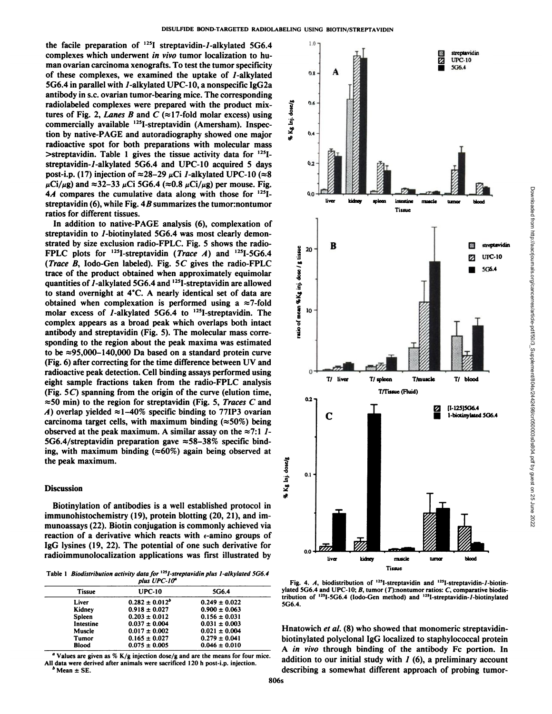the facile preparation of  $^{125}I$  streptavidin-1-alkylated 5G6.4 complexes which underwent in vivo tumor localization to hu man ovarian carcinoma xenografts. To test the tumor specificity of these complexes, we examined the uptake of /-alkylated 5G6.4 in parallel with 7-alkylated UPC-10, a nonspecific IgG2a antibody in s.c. ovarian tumor-bearing mice. The corresponding radiolabeled complexes were prepared with the product mix-<br>tures of Fig. 2, *Lanes B* and C ( $\approx$ 17-fold molar excess) using<br>commercially available <sup>125</sup>I-streptavidin (Amersham). Inspec-<br>tion by native BACE and outeredia tures of Fig. 2, Lanes B and C ( $\approx$ 17-fold molar excess) using commercially available <sup>125</sup>I-streptavidin (Amersham). Inspection by native-PAGE and autoradiography showed one major radioactive spot for both preparations with molecular mass  $\ge$ streptavidin. Table 1 gives the tissue activity data for  $125$ Istreptavidin-7-alkylated 5G6.4 and UPC-10 acquired 5 days post-i.p. (17) injection of  $\approx$  28-29  $\mu$ Ci *l*-alkylated UPC-10 ( $\approx$ 8  $\mu$ Ci/ $\mu$ g) and  $\approx$ 32–33  $\mu$ Ci5G6.4 ( $\approx$ 0.8  $\mu$ Ci/ $\mu$ g) per mouse. Fig. *4A compares the cumulative data along with those for 125I*streptavidin (6), while Fig.  $4B$  summarizes the tumor: nontumor ratios for different tissues.

In addition to native-PAGE analysis (6), complexation of streptavidin to *1*-biotinylated 5G6.4 was most clearly demonstrated by size exclusion radio-FPLC. Fig. 5 shows the radio-FPLC plots for <sup>125</sup>I-streptavidin (*Trace A*) and <sup>125</sup>I-5G6.4<br>
(*Trace B*, Iodo-Gen labeled). Fig. 5*C* gives the radio-FPLC<br>
trace of the product obtained when approximately equimolar<br>
quantities of *I*-alkylated 5G6.4 *(Trace B, lodo-Gen labeled).* Fig. 5C gives the radio-FPLC trace of the product obtained when approximately equimolar quantities of  $I$ -alkylated 5G6.4 and  $125I$ -streptavidin are allowed to stand overnight at 4°C. A nearly identical set of data are obtained when complexation is performed using a  $\approx$ 7-fold molar excess of *I*-alkylated 5G6.4 to <sup>125</sup>I-streptavidin. The complex appears as a broad peak which overlaps both intact antibody and streptavidin (Fig. 5). The molecular mass corre sponding to the region about the peak maxima was estimated to be  $\approx$ 95,000-140,000 Da based on a standard protein curve (Fig. 6) after correcting for the time difference between UV and radioactive peak detection. Cell binding assays performed using eight sample fractions taken from the radio-FPLC analysis (Fig. 5C) spanning from the origin of the curve (elution time,  $\approx$  50 min) to the region for streptavidin (Fig. 5, Traces C and *A*) overlap yielded  $\approx$  1-40% specific binding to 77IP3 ovarian carcinoma target cells, with maximum binding  $(\approx 50\%)$  being observed at the peak maximum. A similar assay on the  $\approx 7:1$   $1-$ 5G6.4/streptavidin preparation gave  $\approx$  58-38% specific binding, with maximum binding  $(\approx 60\%)$  again being observed at the peak maximum.

## **Discussion**

Biotinylation of antibodies is a well established protocol in immunohistochemistry (19), protein blotting (20, 21), and immunoassays (22). Biotin conjugation is commonly achieved via reaction of a derivative which reacts with  $\epsilon$ -amino groups of IgG lysines (19, 22). The potential of one such derivative for radioimmunolocalization applications was first illustrated by

Table 1 Biodistribution activity data for <sup>125</sup>I-streptavidin plus I-alkylated 5G6.4 *plus UPC-lff"*

| <i>DIAS VI</i> C-10 |                     |                   |  |  |
|---------------------|---------------------|-------------------|--|--|
| <b>Tissue</b>       | <b>UPC-10</b>       | 5G6.4             |  |  |
| Liver               | $0.282 \pm 0.012^b$ | $0.249 \pm 0.022$ |  |  |
| Kidney              | $0.918 \pm 0.027$   | $0.900 \pm 0.063$ |  |  |
| Spleen              | $0.203 \pm 0.012$   | $0.156 \pm 0.031$ |  |  |
| Intestine           | $0.037 \pm 0.004$   | $0.031 \pm 0.003$ |  |  |
| Muscle              | $0.017 \pm 0.002$   | $0.021 \pm 0.004$ |  |  |
| Tumor               | $0.165 \pm 0.027$   | $0.279 \pm 0.041$ |  |  |
| <b>Blood</b>        | $0.075 \pm 0.005$   | $0.046 \pm 0.010$ |  |  |
|                     |                     |                   |  |  |

*" Values are given as % K/g injection dose/g and are the means for four mice.* All data were derived after animals were sacrificed 120 h post-i.p. injection.<br><sup>b</sup> Mean ± SE.



Tissue<br>Tissue<br>DIPC-10 5G6.4 ylated 5G6.4 and UPC-10; B, tumor (T):nontumor ratios: C, comparative biodis-Fig. 4. A, biodistribution of  $^{125}$ I-streptavidin and  $^{125}$ I-streptavidin-*I*-biotintribution of  $^{125}I$ -5G6.4 (lodo-Gen method) and  $^{125}I$ -streptavidin-*l*-biotinylated 5G6.4.

Hnatowich et al. (8) who showed that monomeric streptavidinbiotinylated polyclonal IgG localized to staphylococcal protein A in vivo through binding of the antibody Fc portion. In addition to our initial study with  $I(6)$ , a preliminary account describing a somewhat different approach of probing tumor-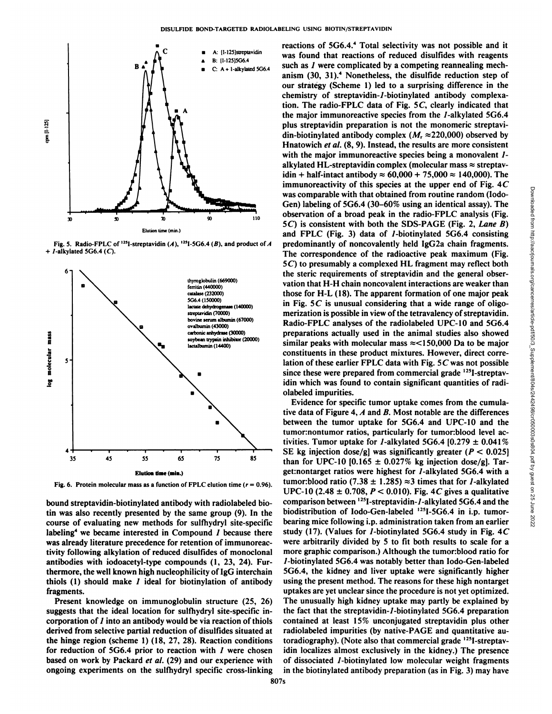

Fig. 5. Radio-FPLC of  $^{125}$ I-streptavidin (A),  $^{125}$ I-5G6.4 (B), and product of A predo *+ /-alkylated 5G6.4 (C).*



**Fig. 6. Protein molecular mass as a function of FPLC elution time (r = 0.96).**

bound streptavidin-biotinylated antibody with radiolabeled biotin was also recently presented by the same group (9). In the course of evaluating new methods for sulfhydryl site-specific labeling<sup>4</sup> we became interested in Compound  $I$  because there was already literature precedence for retention of immunoreactivity following alkylation of reduced disulfides of monoclonal antibodies with iodoacetyl-type compounds (1, 23, 24). Fur thermore, the well known high nucleophilicity of IgG interchain thiols  $(1)$  should make  $I$  ideal for biotinylation of antibody fragments.

Present knowledge on immunoglobulin structure (25, 26) suggests that the ideal location for sulfhydryl site-specific in corporation of / into an antibody would be via reaction of thiols derived from selective partial reduction of disulfides situated at the hinge region (scheme 1) (18, 27, 28). Reaction conditions for reduction of 5G6.4 prior to reaction with  $I$  were chosen based on work by Packard et al. (29) and our experience with ongoing experiments on the sulfhydryl specific cross-linking reactions of 5G6.4.<sup>4</sup> Total selectivity was not possible and it was found that reactions of reduced disulfides with reagents such as *I* were complicated by a competing reannealing mechanism (30, 31).<sup>4</sup> Nonetheless, the disulfide reduction step of our strategy (Scheme 1) led to a surprising difference in the chemistry of streptavidin-7-biotinylated antibody complexation. The radio-FPLC data of Fig. 5C, clearly indicated that the major immunoreactive species from the /-alkylated 5G6.4 plus streptavidin preparation is not the monomeric streptavi din-biotinylated antibody complex ( $M_r \approx 220,000$ ) observed by Hnatowich et al. (8, 9). Instead, the results are more consistent with the major immunoreactive species being a monovalent *1*alkylated HL-streptavidin complex (molecular mass  $\approx$  streptavidin + half-intact antibody  $\approx 60,000 + 75,000 \approx 140,000$ . The immunoreactivity of this species at the upper end of Fig. 4C<br>
was comparable with that obtained from rotutine random (lodo-<br>
Gen) labeling of SG6.4 (30–60% using an identical assay). The<br>
observation of a broad peak in th was comparable with that obtained from routine random (lodo-Gen) labeling of  $5G6.4$  (30–60% using an identical assay). The observation of a broad peak in the radio-FPLC analysis (Fig. 5C) is consistent with both the SDS-PAGE (Fig. 2, Lane B) and FPLC (Fig. 3) data of *1*-biotinylated 5G6.4 consisting predominantly of noncovalently held IgG2a chain fragments. The correspondence of the radioactive peak maximum (Fig. 5C) to presumably a complexed HL fragment may reflect both the steric requirements of streptavidin and the general obser vation that H-H chain noncovalent interactions are weaker than those for H-L (18). The apparent formation of one major peak in Fig.  $5C$  is unusual considering that a wide range of oligomerization is possible in view of the tetravalency of streptavidin. Radio-FPLC analyses of the radiolabeled UPC-10 and 5G6.4 preparations actually used in the animal studies also showed similar peaks with molecular mass  $\approx$  <150,000 Da to be major constituents in these product mixtures. However, direct corre lation of these earlier FPLC data with Fig. 5C was not possible since these were prepared from commercial grade <sup>125</sup>I-streptavidin which was found to contain significant quantities of radi olabeled impurities.

Evidence for specific tumor uptake comes from the cumula tive data of Figure 4,  $A$  and  $B$ . Most notable are the differences between the tumor uptake for 5G6.4 and UPC-10 and the tumor:nontumor ratios, particularly for tumor:blood level activities. Tumor uptake for *1*-alkylated 5G6.4  $[0.279 \pm 0.041\%]$ SE kg injection dose/g] was significantly greater ( $P < 0.025$ ] than for UPC-10 [0.165  $\pm$  0.027% kg injection dose/g]. Target:nontarget ratios were highest for /-alkylated 5G6.4 with a tumor: blood ratio (7.38  $\pm$  1.285)  $\approx$ 3 times that for *1*-alkylated UPC-10 (2.48  $\pm$  0.708, P < 0.010). Fig. 4C gives a qualitative comparison between <sup>125</sup>I-streptavidin-1-alkylated 5G6.4 and the biodistribution of Iodo-Gen-labeled <sup>125</sup>I-5G6.4 in i.p. tumorbearing mice following i.p. administration taken from an earlier study (17). (Values for *1*-biotinylated 5G6.4 study in Fig.  $4C$ were arbitrarily divided by 5 to fit both results to scale for a more graphic comparison.) Although the tumor: blood ratio for /-biotinylated 5G6.4 was notably better than lodo-Gen-labeled 5G6.4, the kidney and liver uptake were significantly higher using the present method. The reasons for these high nontarget uptakes are yet unclear since the procedure is not yet optimized. The unusually high kidney uptake may partly be explained by the fact that the streptavidin-/-biotinylated 5G6.4 preparation contained at least 15% unconjugated streptavidin plus other radiolabeled impurities (by native-PAGE and quantitative autoradiography). (Note also that commercial grade <sup>125</sup>I-streptavidin localizes almost exclusively in the kidney.) The presence of dissociated /-biotinylated low molecular weight fragments in the biotinylated antibody preparation (as in Fig. 3) may have